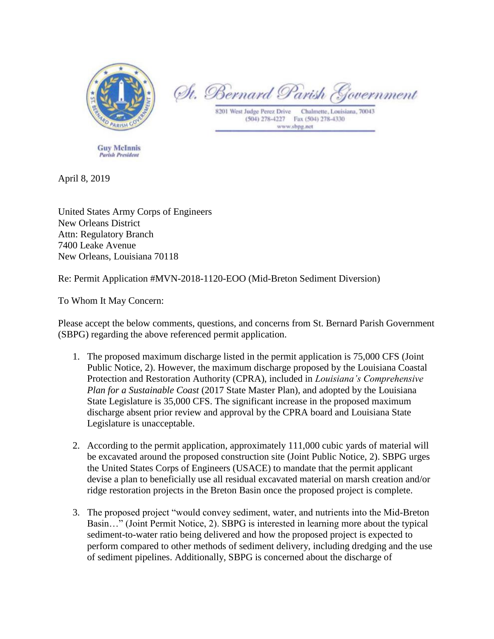

**Guy McInnis Parish President** 

St. Bernard Parish & overnment

Chalmette, Louisiana, 70043 8201 West Judge Perez Drive (504) 278-4227 Fax (504) 278-4330 www.sbpg.net

April 8, 2019

United States Army Corps of Engineers New Orleans District Attn: Regulatory Branch 7400 Leake Avenue New Orleans, Louisiana 70118

Re: Permit Application #MVN-2018-1120-EOO (Mid-Breton Sediment Diversion)

To Whom It May Concern:

Please accept the below comments, questions, and concerns from St. Bernard Parish Government (SBPG) regarding the above referenced permit application.

- 1. The proposed maximum discharge listed in the permit application is 75,000 CFS (Joint Public Notice, 2). However, the maximum discharge proposed by the Louisiana Coastal Protection and Restoration Authority (CPRA), included in *Louisiana's Comprehensive Plan for a Sustainable Coast* (2017 State Master Plan), and adopted by the Louisiana State Legislature is 35,000 CFS. The significant increase in the proposed maximum discharge absent prior review and approval by the CPRA board and Louisiana State Legislature is unacceptable.
- 2. According to the permit application, approximately 111,000 cubic yards of material will be excavated around the proposed construction site (Joint Public Notice, 2). SBPG urges the United States Corps of Engineers (USACE) to mandate that the permit applicant devise a plan to beneficially use all residual excavated material on marsh creation and/or ridge restoration projects in the Breton Basin once the proposed project is complete.
- 3. The proposed project "would convey sediment, water, and nutrients into the Mid-Breton Basin…" (Joint Permit Notice, 2). SBPG is interested in learning more about the typical sediment-to-water ratio being delivered and how the proposed project is expected to perform compared to other methods of sediment delivery, including dredging and the use of sediment pipelines. Additionally, SBPG is concerned about the discharge of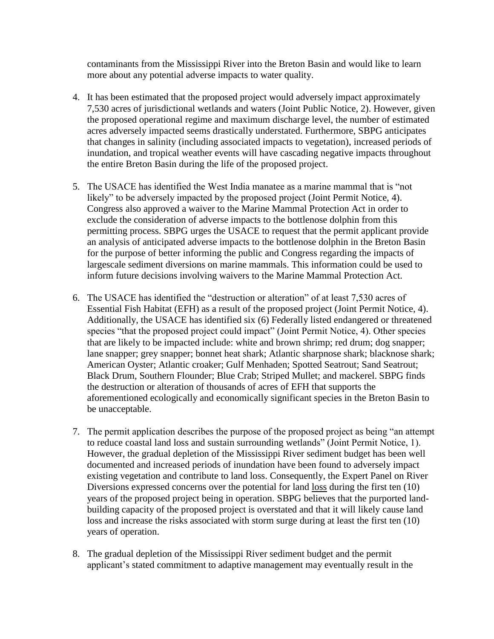contaminants from the Mississippi River into the Breton Basin and would like to learn more about any potential adverse impacts to water quality.

- 4. It has been estimated that the proposed project would adversely impact approximately 7,530 acres of jurisdictional wetlands and waters (Joint Public Notice, 2). However, given the proposed operational regime and maximum discharge level, the number of estimated acres adversely impacted seems drastically understated. Furthermore, SBPG anticipates that changes in salinity (including associated impacts to vegetation), increased periods of inundation, and tropical weather events will have cascading negative impacts throughout the entire Breton Basin during the life of the proposed project.
- 5. The USACE has identified the West India manatee as a marine mammal that is "not likely" to be adversely impacted by the proposed project (Joint Permit Notice, 4). Congress also approved a waiver to the Marine Mammal Protection Act in order to exclude the consideration of adverse impacts to the bottlenose dolphin from this permitting process. SBPG urges the USACE to request that the permit applicant provide an analysis of anticipated adverse impacts to the bottlenose dolphin in the Breton Basin for the purpose of better informing the public and Congress regarding the impacts of largescale sediment diversions on marine mammals. This information could be used to inform future decisions involving waivers to the Marine Mammal Protection Act.
- 6. The USACE has identified the "destruction or alteration" of at least 7,530 acres of Essential Fish Habitat (EFH) as a result of the proposed project (Joint Permit Notice, 4). Additionally, the USACE has identified six (6) Federally listed endangered or threatened species "that the proposed project could impact" (Joint Permit Notice, 4). Other species that are likely to be impacted include: white and brown shrimp; red drum; dog snapper; lane snapper; grey snapper; bonnet heat shark; Atlantic sharpnose shark; blacknose shark; American Oyster; Atlantic croaker; Gulf Menhaden; Spotted Seatrout; Sand Seatrout; Black Drum, Southern Flounder; Blue Crab; Striped Mullet; and mackerel. SBPG finds the destruction or alteration of thousands of acres of EFH that supports the aforementioned ecologically and economically significant species in the Breton Basin to be unacceptable.
- 7. The permit application describes the purpose of the proposed project as being "an attempt to reduce coastal land loss and sustain surrounding wetlands" (Joint Permit Notice, 1). However, the gradual depletion of the Mississippi River sediment budget has been well documented and increased periods of inundation have been found to adversely impact existing vegetation and contribute to land loss. Consequently, the Expert Panel on River Diversions expressed concerns over the potential for land loss during the first ten (10) years of the proposed project being in operation. SBPG believes that the purported landbuilding capacity of the proposed project is overstated and that it will likely cause land loss and increase the risks associated with storm surge during at least the first ten (10) years of operation.
- 8. The gradual depletion of the Mississippi River sediment budget and the permit applicant's stated commitment to adaptive management may eventually result in the